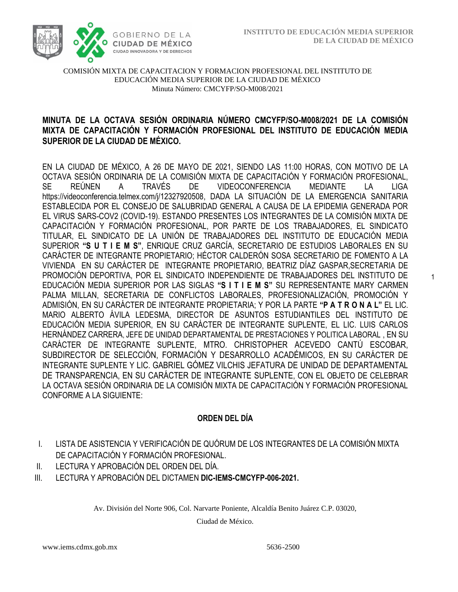1



#### COMISIÓN MIXTA DE CAPACITACION Y FORMACION PROFESIONAL DEL INSTITUTO DE EDUCACIÓN MEDIA SUPERIOR DE LA CIUDAD DE MÉXICO Minuta Número: CMCYFP/SO-M008/2021

# /2020 **MINUTA DE LA OCTAVA SESIÓN ORDINARIA NÚMERO CMCYFP/SO-M008/2021 DE LA COMISIÓN MIXTA DE CAPACITACIÓN Y FORMACIÓN PROFESIONAL DEL INSTITUTO DE EDUCACIÓN MEDIA SUPERIOR DE LA CIUDAD DE MÉXICO.**

EN LA CIUDAD DE MÉXICO, A 26 DE MAYO DE 2021, SIENDO LAS 11:00 HORAS, CON MOTIVO DE LA OCTAVA SESIÓN ORDINARIA DE LA COMISIÓN MIXTA DE CAPACITACIÓN Y FORMACIÓN PROFESIONAL, SE REÚNEN A TRAVÉS DE VIDEOCONFERENCIA MEDIANTE LA LIGA https://videoconferencia.telmex.com/j/12327920508, DADA LA SITUACIÓN DE LA EMERGENCIA SANITARIA ESTABLECIDA POR EL CONSEJO DE SALUBRIDAD GENERAL A CAUSA DE LA EPIDEMIA GENERADA POR EL VIRUS SARS-COV2 (COVID-19). ESTANDO PRESENTES LOS INTEGRANTES DE LA COMISIÓN MIXTA DE CAPACITACIÓN Y FORMACIÓN PROFESIONAL, POR PARTE DE LOS TRABAJADORES, EL SINDICATO TITULAR, EL SINDICATO DE LA UNIÓN DE TRABAJADORES DEL INSTITUTO DE EDUCACIÓN MEDIA SUPERIOR **"S U T I E M S"**, ENRIQUE CRUZ GARCÍA, SECRETARIO DE ESTUDIOS LABORALES EN SU CARÁCTER DE INTEGRANTE PROPIETARIO; HÉCTOR CALDERÓN SOSA SECRETARIO DE FOMENTO A LA VIVIENDA EN SU CARÁCTER DE INTEGRANTE PROPIETARIO, BEATRIZ DÍAZ GASPAR,SECRETARIA DE PROMOCIÓN DEPORTIVA, POR EL SINDICATO INDEPENDIENTE DE TRABAJADORES DEL INSTITUTO DE EDUCACIÓN MEDIA SUPERIOR POR LAS SIGLAS **"S I T I E M S"** SU REPRESENTANTE MARY CARMEN PALMA MILLAN, SECRETARIA DE CONFLICTOS LABORALES, PROFESIONALIZACIÓN, PROMOCIÓN Y ADMISIÓN, EN SU CARÁCTER DE INTEGRANTE PROPIETARIA; Y POR LA PARTE **"P A T R O N A L"** EL LIC. MARIO ALBERTO ÁVILA LEDESMA, DIRECTOR DE ASUNTOS ESTUDIANTILES DEL INSTITUTO DE EDUCACIÓN MEDIA SUPERIOR, EN SU CARÁCTER DE INTEGRANTE SUPLENTE, EL LIC. LUIS CARLOS HERNÁNDEZ CARRERA, JEFE DE UNIDAD DEPARTAMENTAL DE PRESTACIONES Y POLITICA LABORAL , EN SU CARÁCTER DE INTEGRANTE SUPLENTE, MTRO. CHRISTOPHER ACEVEDO CANTÚ ESCOBAR, SUBDIRECTOR DE SELECCIÓN, FORMACIÓN Y DESARROLLO ACADÉMICOS, EN SU CARÁCTER DE INTEGRANTE SUPLENTE Y LIC. GABRIEL GÓMEZ VILCHIS JEFATURA DE UNIDAD DE DEPARTAMENTAL DE TRANSPARENCIA, EN SU CARÁCTER DE INTEGRANTE SUPLENTE, CON EL OBJETO DE CELEBRAR LA OCTAVA SESIÓN ORDINARIA DE LA COMISIÓN MIXTA DE CAPACITACIÓN Y FORMACIÓN PROFESIONAL CONFORME A LA SIGUIENTE:

### **ORDEN DEL DÍA**

- I. LISTA DE ASISTENCIA Y VERIFICACIÓN DE QUÓRUM DE LOS INTEGRANTES DE LA COMISIÓN MIXTA DE CAPACITACIÓN Y FORMACIÓN PROFESIONAL.
- II. LECTURA Y APROBACIÓN DEL ORDEN DEL DÍA.
- III. LECTURA Y APROBACIÓN DEL DICTAMEN **DIC-IEMS-CMCYFP-006-2021.**

Av. División del Norte 906, Col. Narvarte Poniente, Alcaldía Benito Juárez C.P. 03020,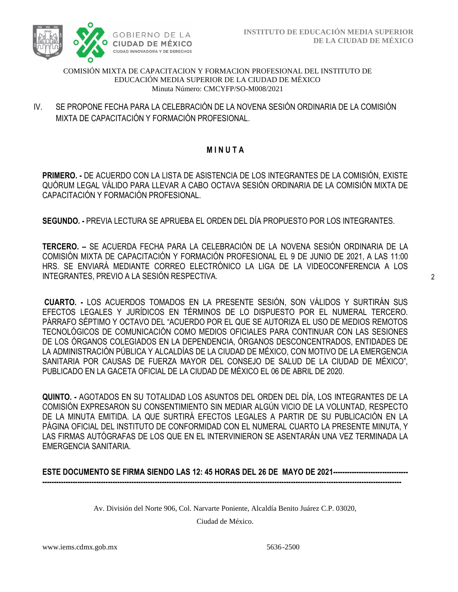

#### COMISIÓN MIXTA DE CAPACITACION Y FORMACION PROFESIONAL DEL INSTITUTO DE EDUCACIÓN MEDIA SUPERIOR DE LA CIUDAD DE MÉXICO Minuta Número: CMCYFP/SO-M008/2021

MIXTA DE CAPACITACIÓN Y FORMACIÓN PROFESIONAL. IV. SE PROPONE FECHA PARA LA CELEBRACIÓN DE LA NOVENA SESIÓN ORDINARIA DE LA COMISIÓN

# **M I N U T A**

**PRIMERO. -** DE ACUERDO CON LA LISTA DE ASISTENCIA DE LOS INTEGRANTES DE LA COMISIÓN, EXISTE QUÓRUM LEGAL VÁLIDO PARA LLEVAR A CABO OCTAVA SESIÓN ORDINARIA DE LA COMISIÓN MIXTA DE CAPACITACIÓN Y FORMACIÓN PROFESIONAL.

**SEGUNDO. -** PREVIA LECTURA SE APRUEBA EL ORDEN DEL DÍA PROPUESTO POR LOS INTEGRANTES.

**TERCERO. –** SE ACUERDA FECHA PARA LA CELEBRACIÓN DE LA NOVENA SESIÓN ORDINARIA DE LA COMISIÓN MIXTA DE CAPACITACIÓN Y FORMACIÓN PROFESIONAL EL 9 DE JUNIO DE 2021, A LAS 11:00 HRS. SE ENVIARÁ MEDIANTE CORREO ELECTRÓNICO LA LIGA DE LA VIDEOCONFERENCIA A LOS INTEGRANTES, PREVIO A LA SESIÓN RESPECTIVA.

**CUARTO. -** LOS ACUERDOS TOMADOS EN LA PRESENTE SESIÓN, SON VÁLIDOS Y SURTIRÁN SUS EFECTOS LEGALES Y JURÍDICOS EN TÉRMINOS DE LO DISPUESTO POR EL NUMERAL TERCERO. PÁRRAFO SÉPTIMO Y OCTAVO DEL "ACUERDO POR EL QUE SE AUTORIZA EL USO DE MEDIOS REMOTOS TECNOLÓGICOS DE COMUNICACIÓN COMO MEDIOS OFICIALES PARA CONTINUAR CON LAS SESIONES DE LOS ÓRGANOS COLEGIADOS EN LA DEPENDENCIA, ÓRGANOS DESCONCENTRADOS, ENTIDADES DE LA ADMINISTRACIÓN PÚBLICA Y ALCALDÍAS DE LA CIUDAD DE MÉXICO, CON MOTIVO DE LA EMERGENCIA SANITARIA POR CAUSAS DE FUERZA MAYOR DEL CONSEJO DE SALUD DE LA CIUDAD DE MÉXICO", PUBLICADO EN LA GACETA OFICIAL DE LA CIUDAD DE MÉXICO EL 06 DE ABRIL DE 2020.

**QUINTO. -** AGOTADOS EN SU TOTALIDAD LOS ASUNTOS DEL ORDEN DEL DÍA, LOS INTEGRANTES DE LA COMISIÓN EXPRESARON SU CONSENTIMIENTO SIN MEDIAR ALGÚN VICIO DE LA VOLUNTAD, RESPECTO DE LA MINUTA EMITIDA. LA QUE SURTIRÁ EFECTOS LEGALES A PARTIR DE SU PUBLICACIÓN EN LA PÁGINA OFICIAL DEL INSTITUTO DE CONFORMIDAD CON EL NUMERAL CUARTO LA PRESENTE MINUTA, Y LAS FIRMAS AUTÓGRAFAS DE LOS QUE EN EL INTERVINIERON SE ASENTARÁN UNA VEZ TERMINADA LA EMERGENCIA SANITARIA.

**ESTE DOCUMENTO SE FIRMA SIENDO LAS 12: 45 HORAS DEL 26 DE MAYO DE 2021-------------------------------- ---------------------------------------------------------------------------------------------------------------------------------------------------------**

Av. División del Norte 906, Col. Narvarte Poniente, Alcaldía Benito Juárez C.P. 03020,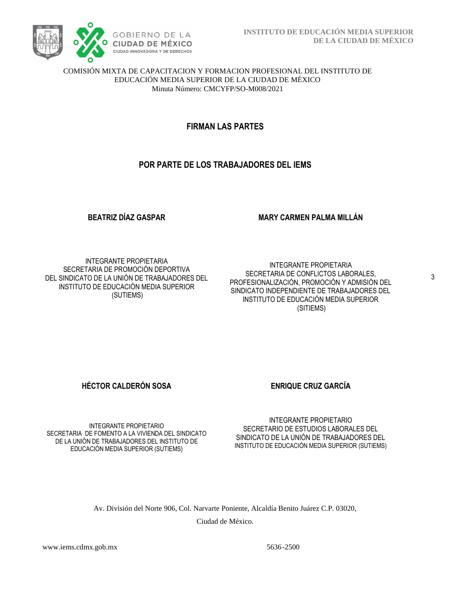

#### COMISIÓN MIXTA DE CAPACITACION Y FORMACION PROFESIONAL DEL INSTITUTO DE EDUCACIÓN MEDIA SUPERIOR DE LA CIUDAD DE MÉXICO Minuta Número: CMCYFP/SO-M008/2021

# **FIRMAN LAS PARTES**

# **POR PARTE DE LOS TRABAJADORES DEL IEMS**

#### **BEATRIZ DÍAZ GASPAR**

#### **MARY CARMEN PALMA MILLÁN**

INTEGRANTE PROPIETARIA SECRETARIA DE PROMOCIÓN DEPORTIVA DEL SINDICATO DE LA UNIÓN DE TRABAJADORES DEL INSTITUTO DE EDUCACIÓN MEDIA SUPERIOR (SUTIEMS)

INTEGRANTE PROPIETARIA SECRETARIA DE CONFLICTOS LABORALES, PROFESIONALIZACIÓN, PROMOCIÓN Y ADMISIÓN DEL SINDICATO INDEPENDIENTE DE TRABAJADORES DEL INSTITUTO DE EDUCACIÓN MEDIA SUPERIOR (SITIEMS)

**HÉCTOR CALDERÓN SOSA ENRIQUE CRUZ GARCÍA** 

INTEGRANTE PROPIETARIO SECRETARIA DE FOMENTO A LA VIVIENDA DEL SINDICATO DE LA UNIÓN DE TRABAJADORES DEL INSTITUTO DE EDUCACIÓN MEDIA SUPERIOR (SUTIEMS)

INTEGRANTE PROPIETARIO SECRETARIO DE ESTUDIOS LABORALES DEL SINDICATO DE LA UNIÓN DE TRABAJADORES DEL INSTITUTO DE EDUCACIÓN MEDIA SUPERIOR (SUTIEMS)

Av. División del Norte 906, Col. Narvarte Poniente, Alcaldía Benito Juárez C.P. 03020,